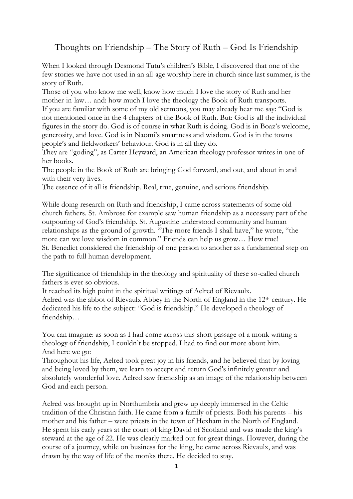## Thoughts on Friendship – The Story of Ruth – God Is Friendship

When I looked through Desmond Tutu's children's Bible, I discovered that one of the few stories we have not used in an all-age worship here in church since last summer, is the story of Ruth.

Those of you who know me well, know how much I love the story of Ruth and her mother-in-law… and: how much I love the theology the Book of Ruth transports.

If you are familiar with some of my old sermons, you may already hear me say: "God is not mentioned once in the 4 chapters of the Book of Ruth. But: God is all the individual figures in the story do. God is of course in what Ruth is doing. God is in Boaz's welcome, generosity, and love. God is in Naomi's smartness and wisdom. God is in the towns people's and fieldworkers' behaviour. God is in all they do.

They are "goding", as Carter Heyward, an American theology professor writes in one of her books.

The people in the Book of Ruth are bringing God forward, and out, and about in and with their very lives.

The essence of it all is friendship. Real, true, genuine, and serious friendship.

While doing research on Ruth and friendship, I came across statements of some old church fathers. St. Ambrose for example saw human friendship as a necessary part of the outpouring of God's friendship. St. Augustine understood community and human relationships as the ground of growth. "The more friends I shall have," he wrote, "the more can we love wisdom in common." Friends can help us grow… How true! St. Benedict considered the friendship of one person to another as a fundamental step on the path to full human development.

The significance of friendship in the theology and spirituality of these so-called church fathers is ever so obvious.

It reached its high point in the spiritual writings of Aelred of Rievaulx. Aelred was the abbot of Rievaulx Abbey in the North of England in the 12th century. He dedicated his life to the subject: "God is friendship." He developed a theology of friendship…

You can imagine: as soon as I had come across this short passage of a monk writing a theology of friendship, I couldn't be stopped. I had to find out more about him. And here we go:

Throughout his life, Aelred took great joy in his friends, and he believed that by loving and being loved by them, we learn to accept and return God's infinitely greater and absolutely wonderful love. Aelred saw friendship as an image of the relationship between God and each person.

Aelred was brought up in Northumbria and grew up deeply immersed in the Celtic tradition of the Christian faith. He came from a family of priests. Both his parents – his mother and his father – were priests in the town of Hexham in the North of England. He spent his early years at the court of king David of Scotland and was made the king's steward at the age of 22. He was clearly marked out for great things. However, during the course of a journey, while on business for the king, he came across Rievaulx, and was drawn by the way of life of the monks there. He decided to stay.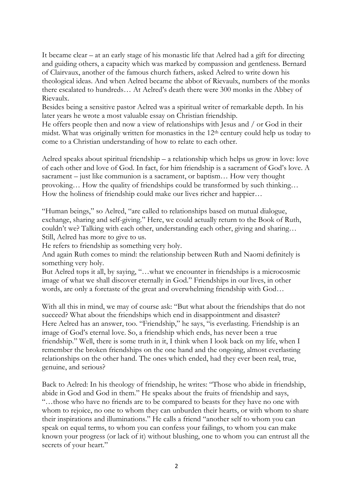It became clear – at an early stage of his monastic life that Aelred had a gift for directing and guiding others, a capacity which was marked by compassion and gentleness. Bernard of Clairvaux, another of the famous church fathers, asked Aelred to write down his theological ideas. And when Aelred became the abbot of Rievaulx, numbers of the monks there escalated to hundreds… At Aelred's death there were 300 monks in the Abbey of Rievaulx.

Besides being a sensitive pastor Aelred was a spiritual writer of remarkable depth. In his later years he wrote a most valuable essay on Christian friendship.

He offers people then and now a view of relationships with Jesus and / or God in their midst. What was originally written for monastics in the 12th century could help us today to come to a Christian understanding of how to relate to each other.

Aelred speaks about spiritual friendship – a relationship which helps us grow in love: love of each other and love of God. In fact, for him friendship is a sacrament of God's love. A sacrament – just like communion is a sacrament, or baptism… How very thought provoking… How the quality of friendships could be transformed by such thinking… How the holiness of friendship could make our lives richer and happier…

"Human beings," so Aelred, "are called to relationships based on mutual dialogue, exchange, sharing and self-giving." Here, we could actually return to the Book of Ruth, couldn't we? Talking with each other, understanding each other, giving and sharing… Still, Aelred has more to give to us.

He refers to friendship as something very holy.

And again Ruth comes to mind: the relationship between Ruth and Naomi definitely is something very holy.

But Aelred tops it all, by saying, "…what we encounter in friendships is a microcosmic image of what we shall discover eternally in God." Friendships in our lives, in other words, are only a foretaste of the great and overwhelming friendship with God…

With all this in mind, we may of course ask: "But what about the friendships that do not succeed? What about the friendships which end in disappointment and disaster? Here Aelred has an answer, too. "Friendship," he says, "is everlasting. Friendship is an image of God's eternal love. So, a friendship which ends, has never been a true friendship." Well, there is some truth in it, I think when I look back on my life, when I remember the broken friendships on the one hand and the ongoing, almost everlasting relationships on the other hand. The ones which ended, had they ever been real, true, genuine, and serious?

Back to Aelred: In his theology of friendship, he writes: "Those who abide in friendship, abide in God and God in them." He speaks about the fruits of friendship and says, "…those who have no friends are to be compared to beasts for they have no one with whom to rejoice, no one to whom they can unburden their hearts, or with whom to share their inspirations and illuminations." He calls a friend "another self to whom you can speak on equal terms, to whom you can confess your failings, to whom you can make known your progress (or lack of it) without blushing, one to whom you can entrust all the secrets of your heart."